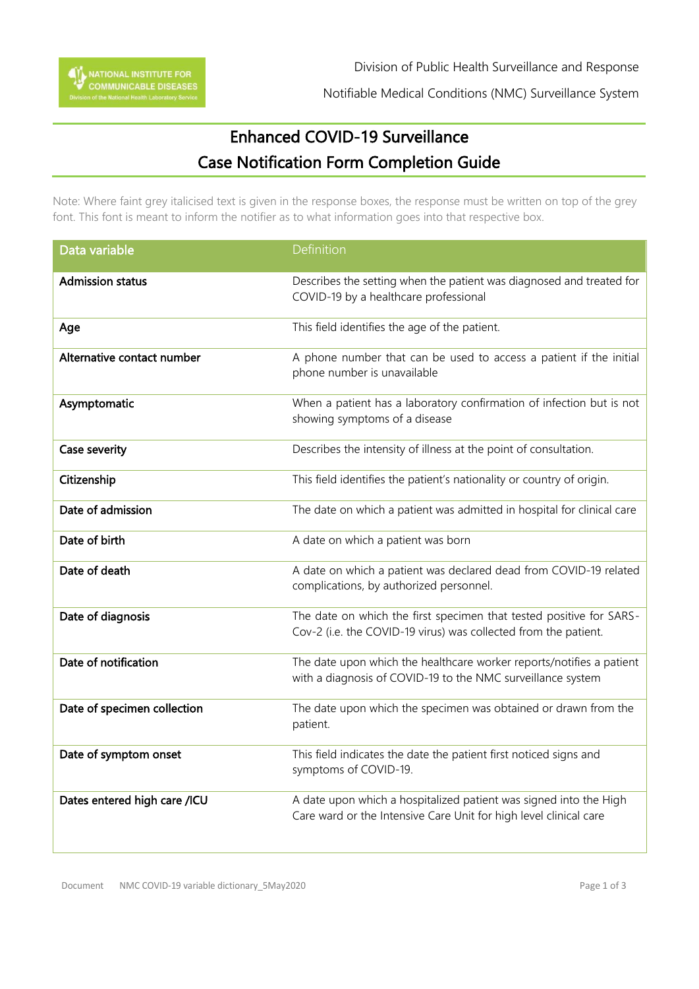Notifiable Medical Conditions (NMC) Surveillance System

## Enhanced COVID-19 Surveillance Case Notification Form Completion Guide

Note: Where faint grey italicised text is given in the response boxes, the response must be written on top of the grey font. This font is meant to inform the notifier as to what information goes into that respective box.

| Data variable                | Definition                                                                                                                             |
|------------------------------|----------------------------------------------------------------------------------------------------------------------------------------|
| <b>Admission status</b>      | Describes the setting when the patient was diagnosed and treated for<br>COVID-19 by a healthcare professional                          |
| Age                          | This field identifies the age of the patient.                                                                                          |
| Alternative contact number   | A phone number that can be used to access a patient if the initial<br>phone number is unavailable                                      |
| Asymptomatic                 | When a patient has a laboratory confirmation of infection but is not<br>showing symptoms of a disease                                  |
| Case severity                | Describes the intensity of illness at the point of consultation.                                                                       |
| Citizenship                  | This field identifies the patient's nationality or country of origin.                                                                  |
| Date of admission            | The date on which a patient was admitted in hospital for clinical care                                                                 |
| Date of birth                | A date on which a patient was born                                                                                                     |
| Date of death                | A date on which a patient was declared dead from COVID-19 related<br>complications, by authorized personnel.                           |
| Date of diagnosis            | The date on which the first specimen that tested positive for SARS-<br>Cov-2 (i.e. the COVID-19 virus) was collected from the patient. |
| Date of notification         | The date upon which the healthcare worker reports/notifies a patient<br>with a diagnosis of COVID-19 to the NMC surveillance system    |
| Date of specimen collection  | The date upon which the specimen was obtained or drawn from the<br>patient.                                                            |
| Date of symptom onset        | This field indicates the date the patient first noticed signs and<br>symptoms of COVID-19.                                             |
| Dates entered high care /ICU | A date upon which a hospitalized patient was signed into the High<br>Care ward or the Intensive Care Unit for high level clinical care |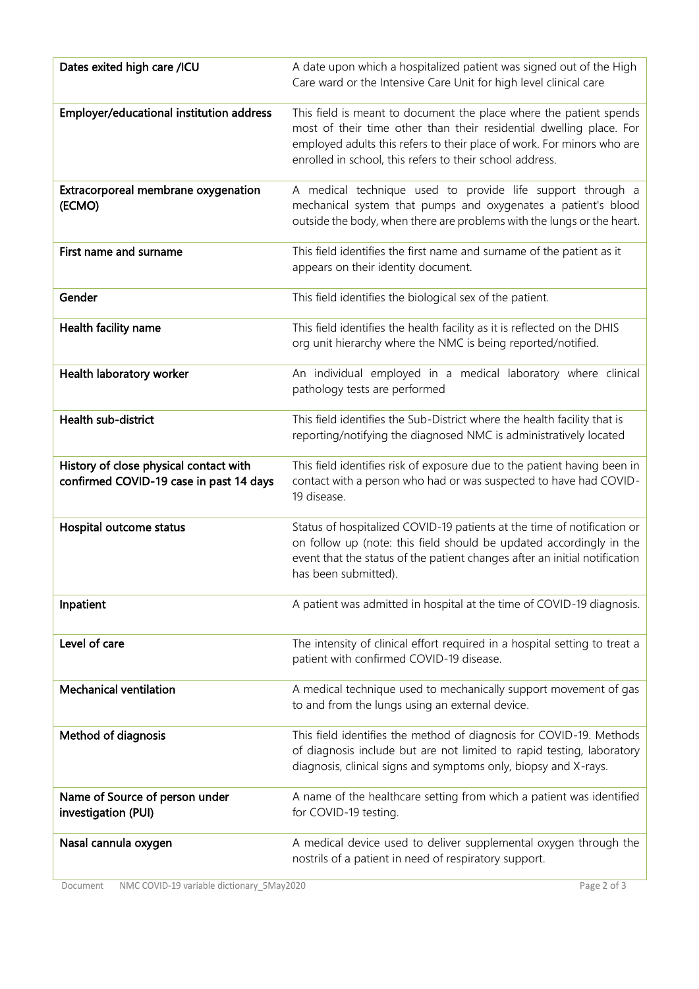| Dates exited high care /ICU                                                       | A date upon which a hospitalized patient was signed out of the High<br>Care ward or the Intensive Care Unit for high level clinical care                                                                                                                                        |
|-----------------------------------------------------------------------------------|---------------------------------------------------------------------------------------------------------------------------------------------------------------------------------------------------------------------------------------------------------------------------------|
| Employer/educational institution address                                          | This field is meant to document the place where the patient spends<br>most of their time other than their residential dwelling place. For<br>employed adults this refers to their place of work. For minors who are<br>enrolled in school, this refers to their school address. |
| Extracorporeal membrane oxygenation<br>(ECMO)                                     | A medical technique used to provide life support through a<br>mechanical system that pumps and oxygenates a patient's blood<br>outside the body, when there are problems with the lungs or the heart.                                                                           |
| First name and surname                                                            | This field identifies the first name and surname of the patient as it<br>appears on their identity document.                                                                                                                                                                    |
| Gender                                                                            | This field identifies the biological sex of the patient.                                                                                                                                                                                                                        |
| Health facility name                                                              | This field identifies the health facility as it is reflected on the DHIS<br>org unit hierarchy where the NMC is being reported/notified.                                                                                                                                        |
| Health laboratory worker                                                          | An individual employed in a medical laboratory where clinical<br>pathology tests are performed                                                                                                                                                                                  |
| Health sub-district                                                               | This field identifies the Sub-District where the health facility that is<br>reporting/notifying the diagnosed NMC is administratively located                                                                                                                                   |
| History of close physical contact with<br>confirmed COVID-19 case in past 14 days | This field identifies risk of exposure due to the patient having been in<br>contact with a person who had or was suspected to have had COVID-<br>19 disease.                                                                                                                    |
| Hospital outcome status                                                           | Status of hospitalized COVID-19 patients at the time of notification or<br>on follow up (note: this field should be updated accordingly in the<br>event that the status of the patient changes after an initial notification<br>has been submitted).                            |
| Inpatient                                                                         | A patient was admitted in hospital at the time of COVID-19 diagnosis.                                                                                                                                                                                                           |
| Level of care                                                                     | The intensity of clinical effort required in a hospital setting to treat a<br>patient with confirmed COVID-19 disease.                                                                                                                                                          |
| <b>Mechanical ventilation</b>                                                     | A medical technique used to mechanically support movement of gas<br>to and from the lungs using an external device.                                                                                                                                                             |
| Method of diagnosis                                                               | This field identifies the method of diagnosis for COVID-19. Methods<br>of diagnosis include but are not limited to rapid testing, laboratory<br>diagnosis, clinical signs and symptoms only, biopsy and X-rays.                                                                 |
| Name of Source of person under<br>investigation (PUI)                             | A name of the healthcare setting from which a patient was identified<br>for COVID-19 testing.                                                                                                                                                                                   |
| Nasal cannula oxygen                                                              | A medical device used to deliver supplemental oxygen through the<br>nostrils of a patient in need of respiratory support.                                                                                                                                                       |